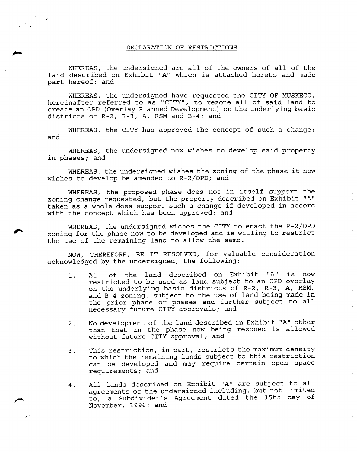#### DECLARATION OF RESTRICTIONS

.

.......

~

*r'*

WHEREAS, the undersigned are all of the owners of all of the land described on Exhibit "A" which is attached hereto and made part hereof; and

WHEREAS, the undersigned have requested the CITY OF MUSKEGO, hereinafter referred to as "CITY", to rezone all of said land to create an OPD (Overlay Planned Development) on the underlying basic districts of R-2, R-3, A, RSM and B-4; and

WHEREAS, the CITY has approved the concept of such a change; and

WHEREAS, the undersigned now wishes to develop said property in phases; and

WHEREAS, the undersigned wishes the zoning of the phase it now wishes to develop be amended to R-2/0PD; and

WHEREAS, the proposed phase does not in itself support the zoning change requested, but the property described on Exhibit "A" taken as a whole does support such a change if developed in accord with the concept which has been approved; and

WHEREAS, the undersigned wishes the CITY to enact the R-2/OP<br>zoning for the phase now to be developed and is willing to restric<br>the use of the remaining land to allow the same. the use of the remaining land to allow the same.

> NOW, THEREFORE, BE IT RESOLVED, for valuable consideration acknowledged by the undersigned, the following:

- 1. All of the land described on Exhibit "A" is now restricted to be used as land subject to an OPD overlay on the underlying basic districts of R-2, R-3, A, RSM, and B-4 zoning, subject to the use of land being made in the prior phase or phases and further subject to all necessary future CITY approvals; and
- 2. No development of the land described in Exhibit "A" other than that in the phase now being rezoned is allowed without future CITY approval; and
- 3. This restriction, in part, restricts the maximum density to which the remaining lands subject to this restriction can be developed and may require certain open space requirements; and
- 4. All lands described on Exhibit "A" are subject to all agreements of the undersigned including, but not limited to, a Subdivider's Agreement dated the 15th day of November, 1996; and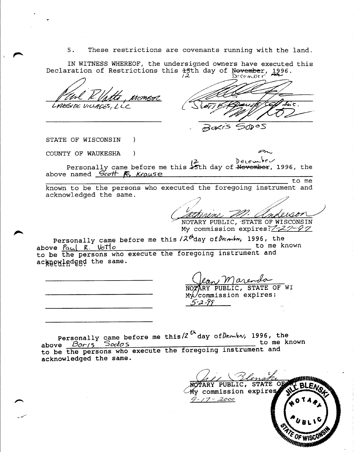5. These restrictions are covenants running with the land.

IN WITNESS WHEREOF, the undersigned owners have executed this Declaration of Restrictions this <del>1</del>5th day of November, 1996.

 $\lambda$ 

 $\overline{L^2}$   $\overline{L^2}$   $\overline{L^2}$  (ember Paul R/ptts, monsoe de Court Haust Commence  $\omega$ 05

STATE OF WISCONSIN)

,

~

",.....,

- /../

COUNTY OF WAUKESHA )  $I^2$  December Personally came before me this <del>25</del>th day of <del>November</del>, 1996, the

above named *Scott* **F**, Krause to me known to be the persons who executed the foregoing instrument and

acknowledged the same.

Cathrine M. Corde

My commission expires: 7-27-97

 $\blacktriangleright$ Personally came before me this  $12^{th}$ day of  $\ell$ ecanto, 1996, the above  $\frac{P_{\alpha} (l - R) \cdot 10^{th} \text{ C}}{R}$  to me known above <u>Paul R. Votto</u> above to me known to be the persons who execute the foregoing instrument and acknowledged the same.

NOTARY PUBLIC, STATE OF WI Mx/commission expires: 5-2-99

Personally came before me this  $2^{th}$  day of $D$ the  $\sim$ , 1996, the above *Barts* Sodo s to me known to be the persons who execute the foregoing instrument and acknowledged the same.

NOTARY PUBLIC, STATE OR My commission expires  $9 - 17 - 2000$ *Industry*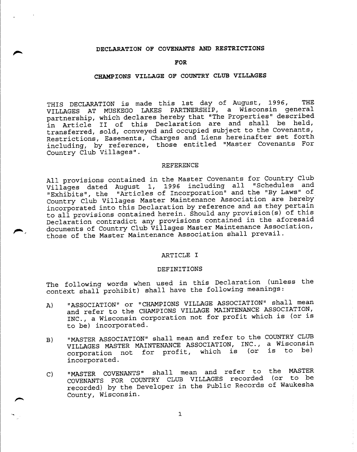## **DECLARATION OF COVENANTS AND RESTRICTIONS**

~

l""-

## **FOR**

# **CHAMPIONS VILLAGE OF COUNTRY CLUB VILLAGES**

THIS DECLARATION is made this 1st day of August, 1996, THE VILLAGES AT MUSKEGO LAKES PARTNERSHIP, a Wisconsin general partnership, which declares hereby that "The Properties" described in Article II of this Declaration are and shall be held, transferred, sold, conveyed and occupied subject to the Covenants, Restrictions, Easements, Charges and Liens hereinafter set forth including, by reference, those entitled "Master Covenants For Country Club Villages".

#### REFERENCE

All provisions contained in the Master Covenants for Country Club Villages dated August 1, 1996 including all "Schedules and "Exhibits", the "Articles of Incorporation" and the "By Laws" of Country Club Villages Master Maintenance Association are hereby incorporated into this Declaration by reference and as they pertain to all provisions contained herein. Should any provision(s) of this Declaration contradict any provisions contained in the aforesaid ~, , documents of Country Club Villages Master Maintenance Association, those of the Master Maintenance Association shall prevail.

## ARTICLE I

### DEFINITIONS

The following words when used in this Declaration (unless the context shall prohibit) shall have the following meanings:

- A) "ASSOCIATION" or "CHAMPIONS VILLAGE ASSOCIATION" shall mean and refer to the CHAMPIONS VILLAGE MAINTENANCE ASSOCIATION, INC., a Wisconsin corporation not for profit which is (or is to be) incorporated.
- B) "MASTER ASSOCIATION" shall mean and refer to the COUNTRY CLUB VILLAGES MASTER MAINTENANCE ASSOCIATION, INC., a Wisconsin corporation not for profit, which is (or is to be) incorporated.
- C) "MASTER COVENANTS" shall mean and refer to the MASTER COVENANTS FOR COUNTRY CLUB VILLAGES recorded (or to be recorded) by the Developer in the Public Records of Waukesha County, Wisconsin.

I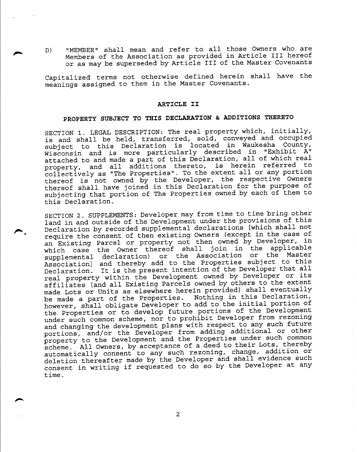D) "MEMBER" shall mean and refer to all those Owners who are Members of the Association as provided in Article III hereof or as may be superseded by Article III of the Master Covenants

,....

 $\overline{\phantom{0}}$ 

Capitalized terms not otherwise defined herein shall have the meanings assigned to them in the Master Covenants.

#### **ARTICLE II**

# **PROPERTY SUBJECT TO THIS DECLARATION & ADDITIONS THERETO**

SECTION 1. LEGAL DESCRIPTION: The real property which, initially, is and shall be held, transferred, sold, conveyed and occupied subject to this Declaration is located in Waukesha County, Wisconsin and is more particularly described in "Exhibit A" attached to and made a part of this Declaration, all of which real property, and all additions thereto, is herein referred to collectively as "The Properties". To the extent all or any portion thereof is not owned by the Developer, the respective Owners thereof shall have joined in this Declaration for the purpose of subjecting that portion of The Properties owned by each of them to this Declaration.

SECTION 2. SUPPLEMENTS: Developer may from time to time bring other land in and outside of the Development under the provisions of this<br>Declaration by recorded supplemental declarations [which shall not eclaration by recorded supplemental declarations [which shall not<br>a declaration by recorded supplemental declarations [except in the case of require the consent of then existing Owners (except in the case of an Existing Parcel or property not then owned by Developer, in which case the Owner thereof shall join in the applicable supplemental declaration) or the Association or the Master Association] and thereby add to the Properties subject to this Declaration. It is the present intention of the Developer that all real property within the Development owned by Developer or its affiliates (and all Existing Parcels owned by others to the extent made Lots or Units as elsewhere herein provided) shall eventually be made a part of the Properties. Nothing in this Declaration, however, shall obligate Developer to add to the initial portion of the Properties or to develop future portions of the Development under such common scheme, nor to prohibit Developer from rezoning and changing the development plans with respect to any such future portions, and/or the Developer from adding additional or other property to the Development and the Properties under such common scheme. All Owners, by acceptance of a deed to their Lots, thereby automatically consent to any such rezoning, change, addition or deletion thereafter made by the Developer and shall evidence such consent in writing if requested to do so by the Developer at any time.

2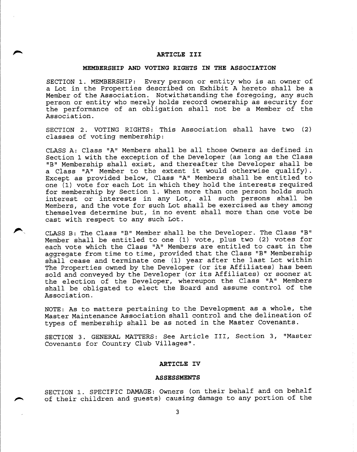### ,..... **ARTICLE III**

## **MEMBERSHIP AND VOTING RIGHTS IN THE ASSOCIATION**

SECTION 1. MEMBERSHIP: Every person or entity who is an owner of a Lot in the Properties described on Exhibit A hereto shall be a Member of the Association. Notwithstanding the foregoing, any such person or entity who merely holds record ownership as security for the performance of an obligation shall not be a Member of the Association.

SECTION 2. VOTING RIGHTS: This Association shall have two (2) classes of voting membership:

CLASS A: Class "A" Members shall be all those Owners as defined in Section 1 with the exception of the Developer (as long as the Class "B" Membership shall exist, and thereafter the Developer shall be a Class "A" Member to the extent it would otherwise qualify). Except as provided below, Class "A" Members shall be entitled to one (1) vote for each Lot in which they hold the interests required for membership by Section 1. When more than one person holds such interest or interests in any Lot, all such persons shall be Members, and the vote for such Lot shall be exercised as they among themselves determine but, in no event shall more than one vote be cast with respect to any such Lot.

CLASS B: The Class "B" Member shall be the Developer. The Class "B" Member shall be entitled to one (1) vote, plus two (2) votes for each vote which the Class "A" Members are entitled to cast in the aggregate from time to time, provided that the Class "B" Membership shall cease and terminate one (1) year after the last Lot within The Properties owned by the Developer (or its Affiliates) has been sold and conveyed by the Developer (or its Affiliates) or sooner at the election of the Developer, whereupon the Class "A" Members shall be obligated to elect the Board and assume control of the Association.

NOTE: As to matters pertaining to the Development as a whole, the Master Maintenance Association shall control and the delineation of types of membership shall be as noted in the Master Covenants.

SECTION 3. GENERAL MATTERS: See Article III, Section 3, "Master Covenants for Country Club Villages".

## **ARTICLE IV**

#### **ASSESSMENTS**

SECTION 1. SPECIFIC DAMAGE: Owners (on their behalf and on behalf of their children and guests) causing damage to any portion of the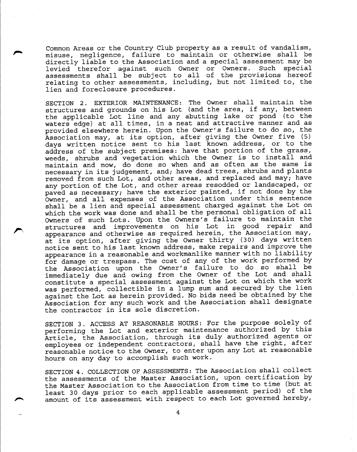Common Areas or the Country Club property as a result of vandalism, misuse, negligence, failure to maintain or otherwise shall be directly liable to the Association and a special assessment may be levied therefor against such Owner or Owners. Such special assessments shall be subject to all of the provisions hereo: relating to other assessments, including, but not limited to, the lien and foreclosure procedures.

SECTION 2. EXTERIOR MAINTENANCE: The Owner shall maintain the structures and grounds on his Lot (and the area, if any, between the applicable Lot line and any abutting lake or pond (to the waters edge) at all times, in a neat and attractive manner and as provided elsewhere herein. Upon the Owner's failure to do so, the Association may, at its option, after giving the Owner five (5) days written notice sent to his last known address, or to the address of the subject premises: have that portion of the grass, weeds, shrubs and vegetation which the Owner is to install and maintain and mow, do done so when and as often as the same is necessary in its judgement, and; have dead trees, shrubs and plants removed from such Lot, and other areas, and replaced and may; have any portion of the Lot, and other areas resodded or landscaped, or paved as necessary; have the exterior painted, if not done by the Owner, and all expenses of the Association under this sentence shall be a lien and special assessment charged against the Lot on which the work was done and shall be the personal obligation of all Owners of such Lots. Upon the Owners's failure to maintain the ~ , structures and improvements on his Lot in good repair and appearance and otherwise as required herein, the Association may, at its option, after giving the Owner thirty (30) days written notice sent to his last known address, make repairs and improve the appearance in a reasonable and workmanlike manner with no liability for damage or trespass. The cost of any of the work performed by the Association upon the Owner's failure to do so shall be immediately due and owing from the Owner of the Lot and shall constitute a special assessment against the Lot on which the work was performed, collectible in a lump sum and secured by the lien against the Lot as herein provided. No bids need be obtained by the Association for any such work and the Association shall designate the contractor in its sole discretion.

SECTION 3. ACCESS AT REASONABLE HOURS: For the purpose solely of performing the Lot and exterior maintenance authorized by this Article, the Association, through its duly authorized agents or employees or independent contractors, shall have the right, after reasonable notice to the Owner, to enter upon any Lot at reasonable hours on any day to accomplish such work.

SECTION 4. COLLECTION OF ASSESSMENTS: The Association shall collect the assessments of the Master Association, upon certification by the Master Association to the Association from time to time (but at least 30 days prior to each applicable assessment period) of the amount of its assessment with respect to each Lot governed hereby,

4

-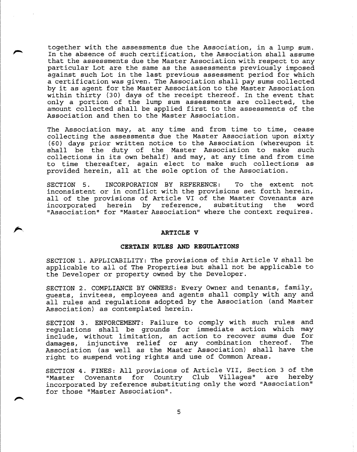together with the assessments due the Association, in a lump sum. In the absence of such certification, the Association shall assume that the assessments due the Master Association with respect to any particular Lot are the same as the assessments previously imposed against such Lot in the last previous assessment period for which a certification was given. The Association shall pay sums collected by it as agent for the Master Association to the Master Association within thirty (30) days of the receipt thereof. In the event that only a portion of the lump sum assessments are collected, the amount collected shall be applied first to the assessments of the Association and then to the Master Association.

The Association may, at any time and from time to time, cease collecting the assessments due the Master Association upon sixty (60) days prior written notice to the Association (whereupon it shall be the duty of the Master Association to make such collections in its own behalf) and may, at any time and from time to time thereafter, again elect to make such collections as provided herein, all at the sole option of the Association.

SECTION 5. INCORPORATION BY REFERENCE: To the extent not inconsistent or in conflict with the provisions set forth herein, all of the provisions of Article VI of the Master Covenants are incorporated herein by reference, substituting the word "Association" for "Master Association" where the context requires.

## **,.... ARTICLE V**

## **CERTAIN RULES AND REGULATIONS**

SECTION 1. APPLICABILITY: The provisions of this Article V shall be applicable to all of The Properties but shall not be applicable to the Developer or property owned by the Developer.

SECTION 2. COMPLIANCE BY OWNERS: Every Owner and tenants, family, guests, invitees, employees and agents shall comply with any and all rules and regulations adopted by the Association (and Master Association) as contemplated herein.

SECTION 3. ENFORCEMENT: Failure to comply with such rules and regulations shall be grounds for immediate action which may include, without limitation, an action to recover sums due for damages, injunctive relief or any combination thereof. The Association (as well as the Master Association) shall have the right to suspend voting rights and use of Common Areas.

SECTION 4. FINES: All provisions of Article VII, Section 3 of the "Master Covenants for Country Club Villages" are hereby incorporated by reference substituting only the word "Association" for those "Master Association".

 $\overline{\phantom{a}}$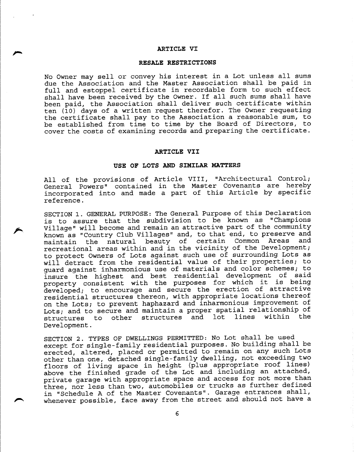#### **ARTICLE VI**

"

".

#### **RESALE RESTRICTIONS**

No Owner may sell or convey his interest in a Lot unless all sums due the Association and the Master Association shall be paid in full and estoppel certificate in recordable form to such effect shall have been received by the Owner. If all such sums shall have been paid, the Association shall deliver such certificate within ten (10) days of a written request therefor. The Owner requesting the certificate shall pay to the Association a reasonable sum, to be established from time to time by the Board of Directors, to cover the costs of examining records and preparing the certificate.

### **ARTICLE VII**

## **USE OF LOTS AND SIMILAR MATTERS**

All of the provisions of Article VIII, "Architectural Control; General Powers" contained in the Master Covenants are hereby incorporated into and made a part of this Article by specific reference.

SECTION 1. GENERAL PURPOSE: The General Purpose of this Declaration is to assure that the subdivision to be known as "Champions Village" will become and remain an attractive part of the community known as "Country Club Villages" and, to that end, to preserve and maintain the natural beauty of certain Common Areas and recreational areas within and in the vicinity of the Development; to protect Owners of Lots against such use of surrounding Lots as will detract from the residential value of their properties; to guard against inharmonious use of materials and color schemes; to insure the highest and best residential development of said property consistent with the purposes for which it is being developed; to encourage and secure the erection of attractive residential structures thereon, with appropriate locations thereof on the Lots; to prevent haphazard and inharmonious improvement of Lots; and to secure and maintain a proper spatial relationship of<br>structures to other structures and lot lines within the structures and lot lines Development.

SECTION 2. TYPES OF DWELLINGS PERMITTED: No Lot shall be used except for single-family residential purposes. No building shall be erected, altered, placed or permitted to remain on any such Lots other than one, detached single-family dwelling, not exceeding two floors of living space in height (plus appropriate roof lines) above the finished grade of the Lot and including an attached, private garage with appropriate space and access for not more than three, nor less than two, automobiles or trucks as further defined in "Schedule A of the Master Covenants". Garage entrances shall, whenever possible, face away from the street and should not have a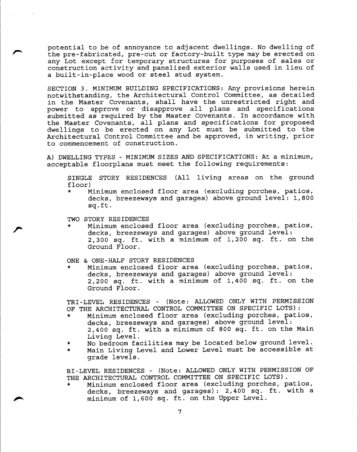potential to be of annoyance to adjacent dwellings. No dwelling of the pre-fabricated, pre-cut or factory-built type may be erected on any Lot except for temporary structures for purposes of sales or construction activity and panelized exterior walls used in lieu of a built-in-place wood or steel stud system.

SECTION 3. MINIMUM BUILDING SPECIFICATIONS: Any provisions herein notwithstanding, the Architectural Control Committee, as detailed in the Master Covenants, shall have the unrestricted right and power to approve or disapprove all plans and specifications submitted as required by the Master Covenants. In accordance with the Master Covenants, all plans and specifications for proposed dwellings to be erected on any Lot must be submitted to the Architectural Control Committee and be approved, in writing, prior to commencement of construction.

A) DWELLING TYPES - MINIMUM SIZES AND SPECIFICATIONS: At a minimum, acceptable floorplans must meet the following requirements:

SINGLE STORY RESIDENCES (All living areas on the ground floor)

\* Minimum enclosed floor area (excluding porches, patios, decks, breezeways and garages) above ground level: 1,800 sq.ft.

TWO STORY RESIDENCES

"

 $\mathcal{L}$  is the set of  $\mathcal{L}$ Minimum enclosed floor area (excluding porches, patios, decks, breezeways and garages) above ground level: 2,300 sq. ft. with a minimum of 1,200 sq. ft. on the Ground Floor.

ONE & ONE-HALF STORY RESIDENCES

\* Minimum enclosed floor area (excluding porches, patios, decks, breezeways and garages) above ground level: 2,200 sq. ft. with a minimum of 1,400 sq. ft. on the Ground Floor.

TRI-LEVEL RESIDENCES - (Note: ALLOWED ONLY WITH PERMISSION OF THE ARCHITECTURAL CONTROL COMMITTEE ON SPECIFIC LOTS):

- Minimum enclosed floor area (excluding porches, patios, decks, breezeways and garages) above ground level: 2,400 sq. ft. with a minimum of 800 sq. ft. on the Main Living Level.
- \* No bedroom facilities may be located below ground level.
- \* Main Living Level and Lower Level must be accessible at grade levels.

BI-LEVEL RESIDENCES - (Note: ALLOWED ONLY WITH PERMISSION OF THE ARCHITECTURAL CONTROL COMMITTEE ON SPECIFIC LOTS).

Minimum enclosed floor area (excluding porches, patios, decks, breezeways and garages): 2,400 sq. ft. with a minimumof 1,600 sq. ft. on the Upper Level.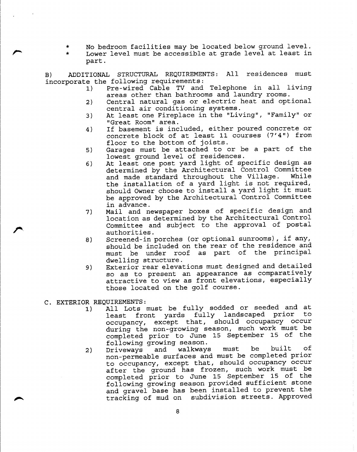- No bedroom facilities may be located below ground level.
- \* Lower level must be accessible at grade level at least in part.

B) ADDITIONAL STRUCTURAL REQUIREMENTS: All residences must incorporate the following requirements:

- 1) Pre-wired Cable TV and Telephone in all living areas other than bathrooms and laundry rooms.
- 2) Central natural gas or electric heat and optional central air conditioning systems.
- 3) At least one Fireplace in the "Living", "Family" or "Great Room" area.
- 4) If basement is included, either poured concrete or concrete block of at least 11 courses (7'4") from floor to the bottom of joists.
- 5) Garages must be attached to or be a part of the lowest ground level of residences.
- 6) At least one post yard light of specific design as determined by the Architectural Control Committee<br>and made standard throughout the Village. While and made standard throughout the Village. the installation of a yard light is not required, should Owner choose to install a yard light it must be approved by the Architectural Control Committee in advance.
- 7) Mail and newspaper boxes of specific design and location as determined by the Architectural Control Committee and subject to the approval of postal authorities.
- 8) Screened-in porches (or optional sunrooms), if any, should be included on the rear of the residence and must be under roof as part of the principal dwelling structure.
- 9) Exterior rear elevations must designed and detailed so as to present an appearance as comparatively attractive to view as front elevations, especially those located on the golf course.
- C. EXTERIOR REQUIREMENTS:

~

*r*

- 1) All Lots must be fully sodded or seeded and at<br>least front vards fully landscaped prior to least front yards fully landscaped prior occupancy, except that, should occupancy occur during the non-growing season, such work must be completed prior to June 15 September 15 of the following growing season.
- 2) Driveways and walkways must be built of non-permeable surfaces and must be completed prior to occupancy, except that, should occupancy occur after the ground has frozen, such work must be completed prior to June 15 September 15 of the following growing season provided sufficient stone and gravel base has been installed to prevent the tracking of mud on subdivision streets. Approved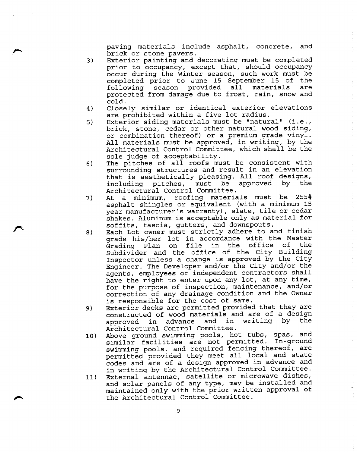paving materials include asphalt, concrete, and brick or stone pavers.

3) Exterior painting and decorating must be completed prior to occupancy, except that, should occupancy occur during the Winter season, such work must be completed prior to June 15 September 15 of the following season provided all materials are protected from damage due to frost, rain, snow and cold.

,.....

 $\blacktriangleright$ 

"

- 4) Closely similar or identical exterior elevations are prohibited within a five lot radius.
- 5) Exterior siding materials must be "natural" (i.e., brick, stone, cedar or other natural wood siding, or combination thereof) or a premium grade vinyl. All materials must be approved, in writing, by the Architectural Control Committee, which shall be the sole judge of acceptability.
- 6) The pitches of all roofs must be consistent with surrounding structures and result in an elevation that is aesthetically pleasing. All roof designs, including pitches, must be approved by Architectural Control Committee.
- 7) At a minimum, roofing materials must be 255# asphalt shingles or equivalent (with a minimum 15 year manufacturer's warranty), slate, tile or cedar shakes. Aluminum is acceptable only as material for soffits, fascia, gutters, and downspouts.
- 8) Each Lot owner must strictly adhere to and finish grade his/her lot in accordance with the Master Grading Plan on file in the office of the Subdivider and the office of the City Building Inspector unless a change is approved by the City Engineer. The Developer and/or the City and/or the agents, employees or independent contractors shall have the right to enter upon any lot, at any time, for the purpose of inspection, maintenance, and/or correction of any drainage condition and the Owner is responsible for the cost of same.
- 9) Exterior decks are permitted provided that they are constructed of wood materials and are of a design approved in advance and in writing by the Architectural Control Committee.
- 10) Above ground swimming pools, hot tubs, spas, and similar facilities are not permitted. In-ground swimming pools, and required fencing thereof, are permitted provided they meet all local and state codes and are of a design approved in advance and in writing by the Architectural Control Committee.
- 11) External antennae, satellite or microwave dishes, and solar panels of any type, may be installed and maintained only with the prior written approval of the Architectural Control Committee.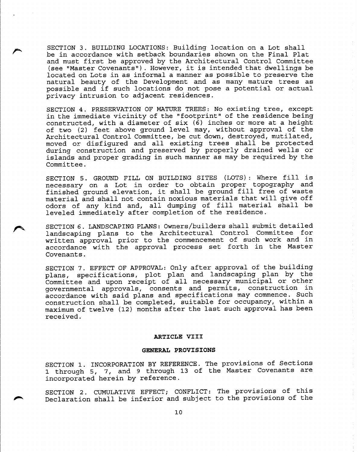SECTION 3. BUILDING LOCATIONS: Building location on a Lot shall be in accordance with setback boundaries shown on the Final Plat and must first be approved by the Architectural Control Committee (see "Master Covenants") . However, it is intended that dwellings be located on Lots in as informal a manner as possible to preserve the natural beauty of the Development and as many mature trees as possible and if such locations do not pose a potential or actual privacy intrusion to adjacent residences.

~

"

SECTION 4. PRESERVATION OF MATURE TREES: No existing tree, except in the immediate vicinity of the" footprint" of the residence being constructed, with a diameter of six (6) inches or more at a height of two (2) feet above ground level may, without approval of the Architectural Control Committee, be cut down, destroyed, mutilated, moved or disfigured and all existing trees shall be protected during construction and preserved by properly drained wells or islands and proper grading in such manner as may be required by the Committee.

SECTION 5. GROUND FILL ON BUILDING SITES (LOTS): Where fill is necessary on a Lot in order to obtain proper topography and finished ground elevation, it shall be ground fill free of waste material and shall not contain noxious materials that will give off odors of any kind and, all dumping of fill material shall be leveled immediately after completion of the residence.

SECTION 6. LANDSCAPING PLANS: Owners/builders shall submit detailed landscaping plans to the Architectural Control Committee for written approval prior to the commencement of such work and in accordance with the approval process set forth in the Master Covenants.

SECTION 7. EFFECT OF APPROVAL: Only after approval of the building plans, specifications, plot plan and landscaping plan by the Committee and upon receipt of all necessary municipal or other governmental approvals, consents and permits, construction in accordance with said plans and specifications may commence. Such construction shall be completed, suitable for occupancy, within a maximum of twelve (12) months after the last such approval has been received.

## **ARTICLE VIII**

#### **GENERAL PROVISIONS**

SECTION 1. INCORPORATION BY REFERENCE. The provisions of Sections 1 through 5, 7, and 9 through 13 of the Master Covenants are incorporated herein by reference.

SECTION 2. CUMULATIVE EFFECT; CONFLICT: The provisions of this Declaration shall be inferior and subject to the provisions of the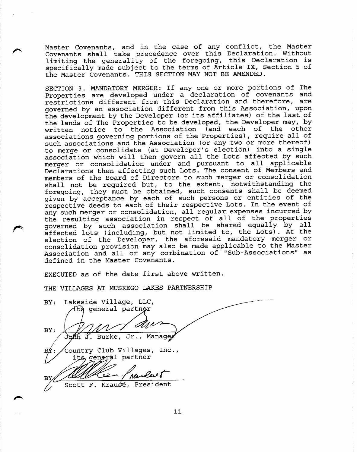Master Covenants, and in the case of any conflict, the Master Covenants shall take precedence over this Declaration. Without limiting the generality of the foregoing, this Declaration is specifically made subject to the terms of Article IX, Section 5 of the Master Covenants. THIS SECTION MAY NOT BE AMENDED.

SECTION 3. MANDATORY MERGER: If anyone or more portions of The Properties are developed under a declaration of covenants and restrictions different from this Declaration and therefore, are governed by an association different from this Association, upon the development by the Developer (or its affiliates) of the last of the lands of The Properties to be developed, the Developer may, by written notice to the Association (and each of the other associations governing portions of the Properties), require all of such associations and the Association (or any two or more thereof) to merge or consolidate (at Developer's election) into a single association which will then govern all the Lots affected by such merger or consolidation under and pursuant to all applicable Declarations then affecting such Lots. The consent of Members and members of the Board of Directors to such merger or consolidation shall not be required but, to the extent, notwithstanding the foregoing, they must be obtained, such consents shall be deemed given by acceptance by each of such persons or entities of the respective deeds to each of their respective Lots. In the event of any such merger or consolidation, all regular expenses incurred by the resulting association in respect of all of the properties governed by such association shall be shared equally by all affected lots (including, but not limited to, the Lots). At the election of the Developer, the aforesaid mandatory merger or consolidation provision may also be made applicable to the Master Association and all or any combination of "Sub-Associations" as defined in the Master Covenants.

EXECUTED as of the date first above written.

THE VILLAGES AT MUSKEGO LAKES PARTNERSHIP

 $\blacksquare$ 

~

'"

|     | BY: Lakeside Village, LLC,   |
|-----|------------------------------|
|     | íts general partner          |
|     |                              |
| BY: |                              |
|     | John J. Burke, Jr., Managey  |
|     |                              |
| ВŹ  | Country Club Villages, Inc., |
|     | its general partner          |
|     |                              |
| ΒУ  | ranker                       |
|     | Scott F. Krause, President   |
|     |                              |
|     |                              |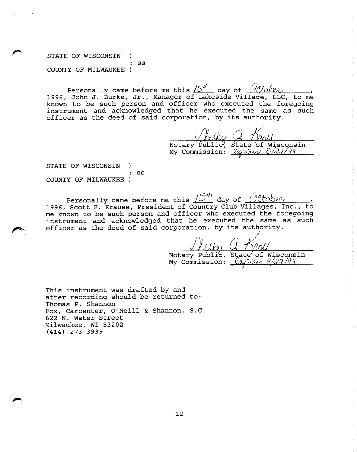STATE OF WISCONSIN) -1 : ss COUNTY OF MILWAUKEE)

~

",....,

Personally came before me this  $15^{44}$  day of  $10^{4}$  /ovid 1996, John J. Burke, Jr., Manager of Lakeside Village, LLC, to me known to be such person and officer who executed the foregoing instrument and acknowledged that he executed the same as such officer as the deed of said corporation, by its authority.

 $\sqrt{\mathcal{h}_{\ell}}$ Publ $\overline{\mathbf{h}}$ nissi g. 1)<br>State of Notary Public, State of Wisconsi My Commission: *VKOihia 8/22/99* 

STATE OF WISCONSIN)  $\lambda$ : ss COUNTY OF MILWAUKEE)

Personally came before me this  $\sqrt{5}^{4h}$  day of  $\sqrt{0.060v}$ 1996, Scott F. Krause, President of Country Club Villages, Inc., to me known to be such person and officer who executed the foregoing instrument and acknowledged that he executed the same as such officer as the deed of said corporation, by its authority.

Notary Public, State of Wisconsin<br>My Commission:  $\ell x \sim \frac{8}{3} \sqrt{9}$ My Commission: <sub>7</sub>

This instrument was drafted by and after recording should be returned to: Thomas P. Shannon Fox, Carpenter, O'Neill & Shannon, S.C. 622 N. Water Street Milwaukee, WI 53202 (414) 273-3939

12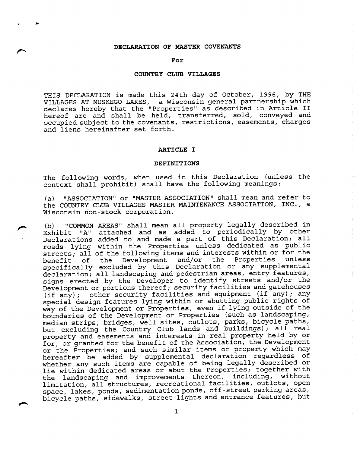### **DECLARATION OF MASTER COVENANTS**

r ..

**I'**

I""""

#### **For**

## **COUNTRY CLUB VILLAGES**

THIS DECLARATION is made this 24th day of October, 1996, by THE VILLAGES AT MUSKEGO LAKES, a Wisconsin general partnership which declares hereby that the "Properties" as described in Article II hereof are and shall be held, transferred, sold, conveyed and occupied subject to the covenants, restrictions, easements, charges and liens hereinafter set forth.

#### **ARTICLE I**

#### **DEFINITIONS**

The following words, when used in this Declaration (unless the context shall prohibit) shall have the following meanings:

(a) "ASSOCIATION" or "MASTER ASSOCIATION" shall mean and refer to the COUNTRY CLUB VILLAGES MASTER MAINTENANCE ASSOCIATION, INC., a Wisconsin non-stock corporation.

(b) "COMMON AREAS" shall mean all property legally described in Exhibit "A" attached and as added to periodically by other Declarations added to and made a part of this Declaration; all roads lying within the Properties unless dedicated as public streets; all of the following items and interests within or for the benefit of the Development and/or the Properties unless specifically excluded by this Declaration or any supplemental declaration; all landscaping and pedestrian areas, entry features, signs erected by the Developer to identify streets and/or the Development or portions thereof; security facilities and gatehouses (if any); other security facilities and equipment (if any); any special design features lying within or abutting public rights of way of the Development or Properties, even if lying outside of the boundaries of the Development or Properties (such as landscaping, median strips, bridges, well sites, outlots, parks, bicycle paths, but excluding the Country Club lands and buildings); all real property and easements and interests in real property held by or for, or granted for the benefit of the Association, the Development or the Properties; and such similar items or property which may hereafter be added by supplemental declaration regardless of whether any such items are capable of being legally described or lie within dedicated areas or abut the Properties; together with the landscaping and improvements thereon, including, without limitation, all structures, recreational facilities, outlots, open space, lakes, ponds, sedimentation ponds, off-street parking areas, bicycle paths, sidewalks, street lights and entrance features, but